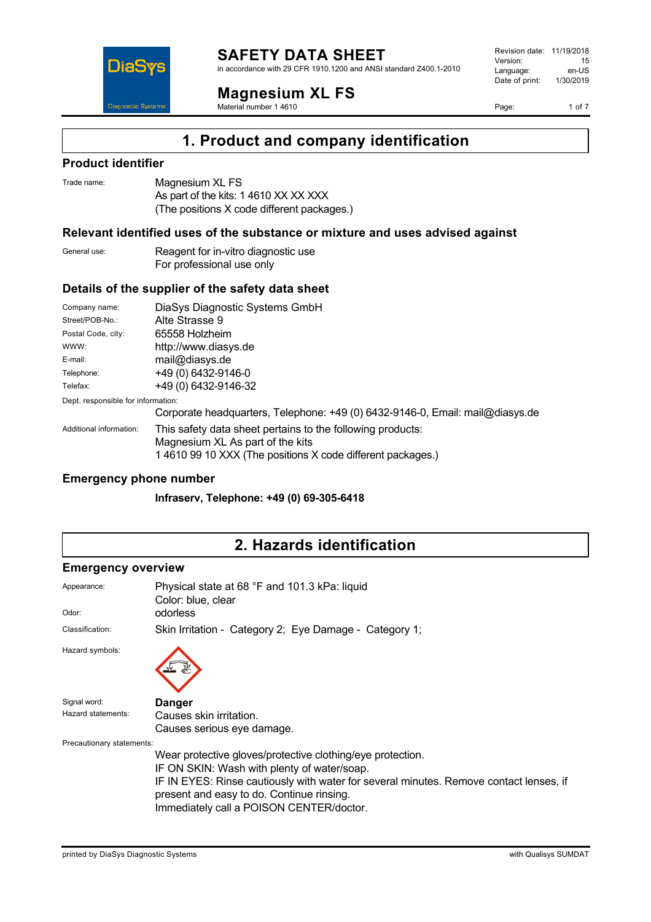

in accordance with 29 CFR 1910.1200 and ANSI standard Z400.1-2010

**Magnesium XL FS**

Material number 1 4610

Revision date: 11/19/2018 Version: 15<br>
Language: en-US Language: Date of print: 1/30/2019

Page: 1 of 7

## **1. Product and company identification**

### **Product identifier**

**DiaSys** 

**Diagnostic System:** 

| Trade name: | Magnesium XL FS                            |
|-------------|--------------------------------------------|
|             | As part of the kits: 1 4610 XX XX XXX      |
|             | (The positions X code different packages.) |

#### **Relevant identified uses of the substance or mixture and uses advised against**

General use: Reagent for in-vitro diagnostic use For professional use only

### **Details of the supplier of the safety data sheet**

| DiaSys Diagnostic Systems GmbH                                                                                                                                |  |  |
|---------------------------------------------------------------------------------------------------------------------------------------------------------------|--|--|
| Alte Strasse 9                                                                                                                                                |  |  |
| 65558 Holzheim                                                                                                                                                |  |  |
| http://www.diasys.de                                                                                                                                          |  |  |
| mail@diasys.de                                                                                                                                                |  |  |
| +49 (0) 6432-9146-0                                                                                                                                           |  |  |
| +49 (0) 6432-9146-32                                                                                                                                          |  |  |
| Dept. responsible for information:                                                                                                                            |  |  |
| Corporate headquarters, Telephone: +49 (0) 6432-9146-0, Email: mail@diasys.de                                                                                 |  |  |
| This safety data sheet pertains to the following products:<br>Magnesium XL As part of the kits<br>1 4610 99 10 XXX (The positions X code different packages.) |  |  |
|                                                                                                                                                               |  |  |

#### **Emergency phone number**

**Infraserv, Telephone: +49 (0) 69-305-6418**

## **2. Hazards identification**

#### **Emergency overview**

| Appearance:<br>Odor:      | Physical state at 68 °F and 101.3 kPa: liquid<br>Color: blue, clear<br>odorless                                                                                                 |  |  |
|---------------------------|---------------------------------------------------------------------------------------------------------------------------------------------------------------------------------|--|--|
| Classification:           | Skin Irritation - Category 2; Eye Damage - Category 1;                                                                                                                          |  |  |
| Hazard symbols:           |                                                                                                                                                                                 |  |  |
| Signal word:              | <b>Danger</b>                                                                                                                                                                   |  |  |
| Hazard statements:        | Causes skin irritation.                                                                                                                                                         |  |  |
|                           | Causes serious eye damage.                                                                                                                                                      |  |  |
| Precautionary statements: |                                                                                                                                                                                 |  |  |
|                           | Wear protective gloves/protective clothing/eye protection.                                                                                                                      |  |  |
|                           | IF ON SKIN: Wash with plenty of water/soap.                                                                                                                                     |  |  |
|                           | IF IN EYES: Rinse cautiously with water for several minutes. Remove contact lenses, if<br>present and easy to do. Continue rinsing.<br>Immediately call a POISON CENTER/doctor. |  |  |
|                           |                                                                                                                                                                                 |  |  |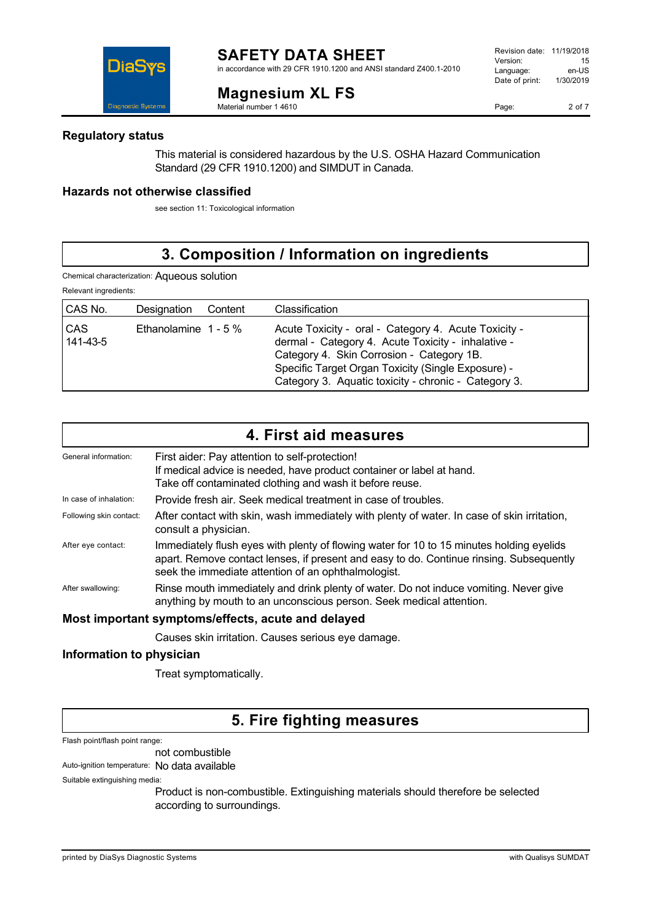in accordance with 29 CFR 1910.1200 and ANSI standard Z400.1-2010



**Magnesium XL FS**

Material number 1 4610

### **Regulatory status**

DiaS

This material is considered hazardous by the U.S. OSHA Hazard Communication Standard (29 CFR 1910.1200) and SIMDUT in Canada.

### **Hazards not otherwise classified**

see section 11: Toxicological information

# **3. Composition / Information on ingredients**

Chemical characterization: Aqueous solution

Relevant ingredients:

| CAS No.                | Designation            | Content | Classification                                                                                                                                                                                                                                                        |
|------------------------|------------------------|---------|-----------------------------------------------------------------------------------------------------------------------------------------------------------------------------------------------------------------------------------------------------------------------|
| <b>CAS</b><br>141-43-5 | Ethanolamine $1 - 5\%$ |         | Acute Toxicity - oral - Category 4. Acute Toxicity -<br>dermal - Category 4. Acute Toxicity - inhalative -<br>Category 4. Skin Corrosion - Category 1B.<br>Specific Target Organ Toxicity (Single Exposure) -<br>Category 3. Aquatic toxicity - chronic - Category 3. |

|                         | 4. First aid measures                                                                                                                                                                                                                      |
|-------------------------|--------------------------------------------------------------------------------------------------------------------------------------------------------------------------------------------------------------------------------------------|
| General information:    | First aider: Pay attention to self-protection!<br>If medical advice is needed, have product container or label at hand.<br>Take off contaminated clothing and wash it before reuse.                                                        |
| In case of inhalation:  | Provide fresh air. Seek medical treatment in case of troubles.                                                                                                                                                                             |
| Following skin contact: | After contact with skin, wash immediately with plenty of water. In case of skin irritation,<br>consult a physician.                                                                                                                        |
| After eye contact:      | Immediately flush eyes with plenty of flowing water for 10 to 15 minutes holding eyelids<br>apart. Remove contact lenses, if present and easy to do. Continue rinsing. Subsequently<br>seek the immediate attention of an ophthalmologist. |
| After swallowing:       | Rinse mouth immediately and drink plenty of water. Do not induce vomiting. Never give<br>anything by mouth to an unconscious person. Seek medical attention.                                                                               |
|                         | Most important symptoms/effects, acute and delayed                                                                                                                                                                                         |

Causes skin irritation. Causes serious eye damage.

### **Information to physician**

Treat symptomatically.

## **5. Fire fighting measures**

Flash point/flash point range:

not combustible

Auto-ignition temperature: No data available

Suitable extinguishing media:

Product is non-combustible. Extinguishing materials should therefore be selected according to surroundings.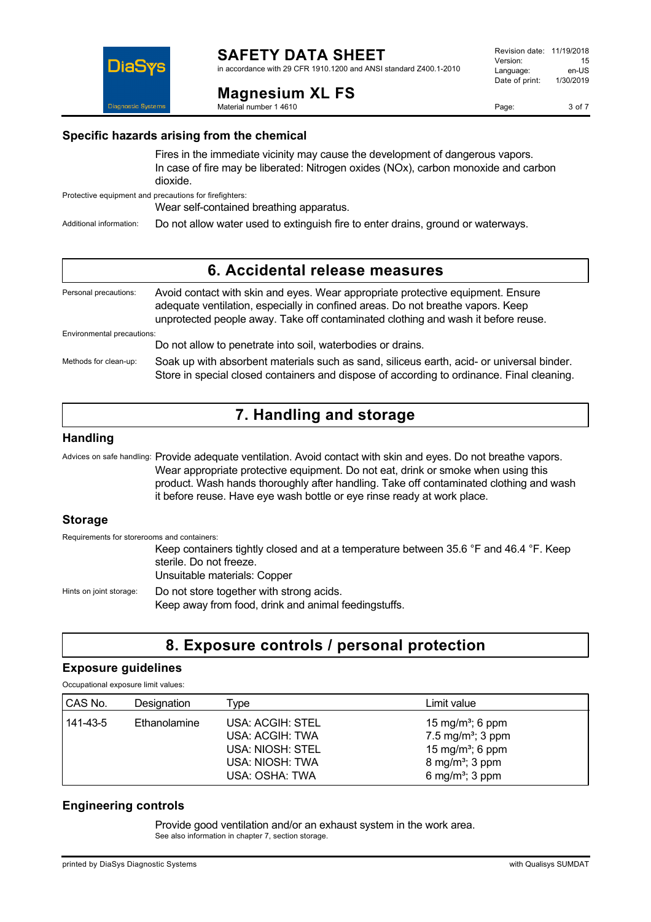

**Magnesium XL FS**

Material number 1 4610

in accordance with 29 CFR 1910.1200 and ANSI standard Z400.1-2010





**Specific hazards arising from the chemical**

Fires in the immediate vicinity may cause the development of dangerous vapors. In case of fire may be liberated: Nitrogen oxides (NOx), carbon monoxide and carbon dioxide.

Protective equipment and precautions for firefighters:

Wear self-contained breathing apparatus.

Additional information: Do not allow water used to extinguish fire to enter drains, ground or waterways.

### **6. Accidental release measures**

| Personal precautions:      | Avoid contact with skin and eyes. Wear appropriate protective equipment. Ensure<br>adequate ventilation, especially in confined areas. Do not breathe vapors. Keep<br>unprotected people away. Take off contaminated clothing and wash it before reuse. |  |  |
|----------------------------|---------------------------------------------------------------------------------------------------------------------------------------------------------------------------------------------------------------------------------------------------------|--|--|
| Environmental precautions: |                                                                                                                                                                                                                                                         |  |  |
|                            | Do not allow to penetrate into soil, waterbodies or drains.                                                                                                                                                                                             |  |  |
| Methods for clean-up:      | Soak up with absorbent materials such as sand, siliceus earth, acid- or universal binder.<br>Store in special closed containers and dispose of according to ordinance. Final cleaning.                                                                  |  |  |

## **7. Handling and storage**

#### **Handling**

Advices on safe handling: Provide adequate ventilation. Avoid contact with skin and eyes. Do not breathe vapors. Wear appropriate protective equipment. Do not eat, drink or smoke when using this product. Wash hands thoroughly after handling. Take off contaminated clothing and wash it before reuse. Have eye wash bottle or eye rinse ready at work place.

### **Storage**

Requirements for storerooms and containers: Keep containers tightly closed and at a temperature between 35.6 °F and 46.4 °F. Keep sterile. Do not freeze. Unsuitable materials: Copper Hints on joint storage: Do not store together with strong acids. Keep away from food, drink and animal feedingstuffs.

## **8. Exposure controls / personal protection**

#### **Exposure guidelines**

Occupational exposure limit values:

| CAS No.  | Designation  | vpe                                                                                          | Limit value                                                                                                                                                 |
|----------|--------------|----------------------------------------------------------------------------------------------|-------------------------------------------------------------------------------------------------------------------------------------------------------------|
| 141-43-5 | Ethanolamine | USA: ACGIH: STEL<br>USA: ACGIH: TWA<br>USA: NIOSH: STEL<br>USA: NIOSH: TWA<br>USA: OSHA: TWA | 15 mg/m <sup>3</sup> ; 6 ppm<br>7.5 mg/m <sup>3</sup> ; 3 ppm<br>15 mg/m <sup>3</sup> ; 6 ppm<br>8 mg/m <sup>3</sup> ; 3 ppm<br>6 mg/m <sup>3</sup> ; 3 ppm |

### **Engineering controls**

Provide good ventilation and/or an exhaust system in the work area. See also information in chapter 7, section storage.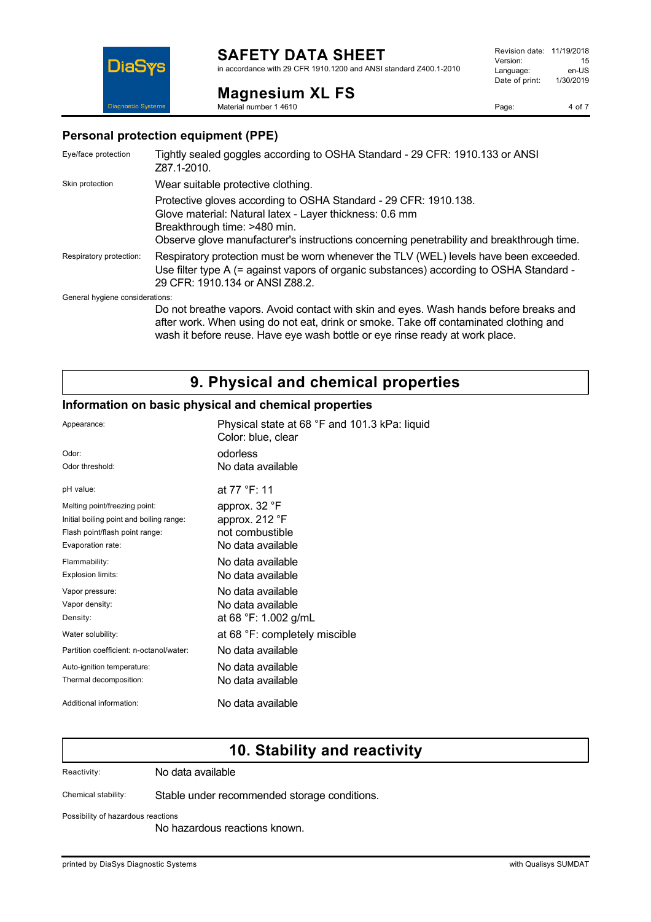### **SAFETY DATA SHEET**

in accordance with 29 CFR 1910.1200 and ANSI standard Z400.1-2010

**Magnesium XL FS** Material number 1 4610



**DiaSvs Diagnostic System** 

#### **Personal protection equipment (PPE)**

| Eye/face protection             | Tightly sealed goggles according to OSHA Standard - 29 CFR: 1910.133 or ANSI<br>Z87.1-2010.                                                                                                                                                              |
|---------------------------------|----------------------------------------------------------------------------------------------------------------------------------------------------------------------------------------------------------------------------------------------------------|
| Skin protection                 | Wear suitable protective clothing.                                                                                                                                                                                                                       |
|                                 | Protective gloves according to OSHA Standard - 29 CFR: 1910.138.<br>Glove material: Natural latex - Layer thickness: 0.6 mm<br>Breakthrough time: >480 min.<br>Observe glove manufacturer's instructions concerning penetrability and breakthrough time. |
| Respiratory protection:         | Respiratory protection must be worn whenever the TLV (WEL) levels have been exceeded.<br>Use filter type A (= against vapors of organic substances) according to OSHA Standard -<br>29 CFR: 1910.134 or ANSI Z88.2.                                      |
| General hygiene considerations: |                                                                                                                                                                                                                                                          |
|                                 | Do not breathe vapors. Avoid contact with skin and eyes. Wash hands before breaks and<br>after work. When using do not eat, drink or smoke. Take off contaminated clothing and                                                                           |

## **9. Physical and chemical properties**

wash it before reuse. Have eye wash bottle or eye rinse ready at work place.

### **Information on basic physical and chemical properties**

| Appearance:                              | Physical state at 68 °F and 101.3 kPa: liquid<br>Color: blue, clear |
|------------------------------------------|---------------------------------------------------------------------|
| Odor:                                    | odorless                                                            |
| Odor threshold:                          | No data available                                                   |
| pH value:                                | at 77 °F: 11                                                        |
| Melting point/freezing point:            | approx. 32 °F                                                       |
| Initial boiling point and boiling range: | approx. 212 °F                                                      |
| Flash point/flash point range:           | not combustible                                                     |
| Evaporation rate:                        | No data available                                                   |
| Flammability:                            | No data available                                                   |
| Explosion limits:                        | No data available                                                   |
| Vapor pressure:                          | No data available                                                   |
| Vapor density:                           | No data available                                                   |
| Density:                                 | at 68 °F: 1.002 g/mL                                                |
| Water solubility:                        | at 68 °F: completely miscible                                       |
| Partition coefficient: n-octanol/water:  | No data available                                                   |
| Auto-ignition temperature:               | No data available                                                   |
| Thermal decomposition:                   | No data available                                                   |
| Additional information:                  | No data available                                                   |

### **10. Stability and reactivity**

Reactivity: No data available

Chemical stability: Stable under recommended storage conditions.

Possibility of hazardous reactions

No hazardous reactions known.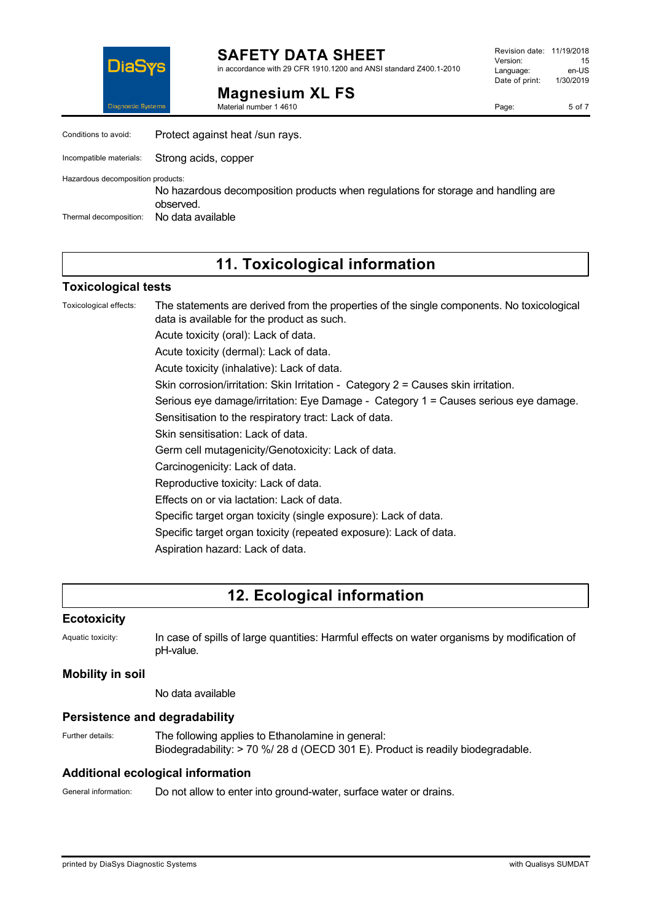

**SAFETY DATA SHEET** in accordance with 29 CFR 1910.1200 and ANSI standard Z400.1-2010

**Magnesium XL FS**

Material number 1 4610

Page: 5 of 7

| Conditions to avoid:              | Protect against heat /sun rays.                                                                |
|-----------------------------------|------------------------------------------------------------------------------------------------|
| Incompatible materials:           | Strong acids, copper                                                                           |
| Hazardous decomposition products: | No hazardous decomposition products when regulations for storage and handling are<br>observed. |
| Thermal decomposition:            | No data available                                                                              |

## **11. Toxicological information**

#### **Toxicological tests**

Toxicological effects: The statements are derived from the properties of the single components. No toxicological data is available for the product as such. Acute toxicity (oral): Lack of data. Acute toxicity (dermal): Lack of data. Acute toxicity (inhalative): Lack of data. Skin corrosion/irritation: Skin Irritation - Category 2 = Causes skin irritation. Serious eye damage/irritation: Eye Damage - Category 1 = Causes serious eye damage. Sensitisation to the respiratory tract: Lack of data. Skin sensitisation: Lack of data. Germ cell mutagenicity/Genotoxicity: Lack of data. Carcinogenicity: Lack of data. Reproductive toxicity: Lack of data. Effects on or via lactation: Lack of data. Specific target organ toxicity (single exposure): Lack of data. Specific target organ toxicity (repeated exposure): Lack of data. Aspiration hazard: Lack of data.

## **12. Ecological information**

#### **Ecotoxicity**

Aquatic toxicity: In case of spills of large quantities: Harmful effects on water organisms by modification of pH-value.

#### **Mobility in soil**

No data available

#### **Persistence and degradability**

Further details: The following applies to Ethanolamine in general: Biodegradability: > 70 %/ 28 d (OECD 301 E). Product is readily biodegradable.

### **Additional ecological information**

General information: Do not allow to enter into ground-water, surface water or drains.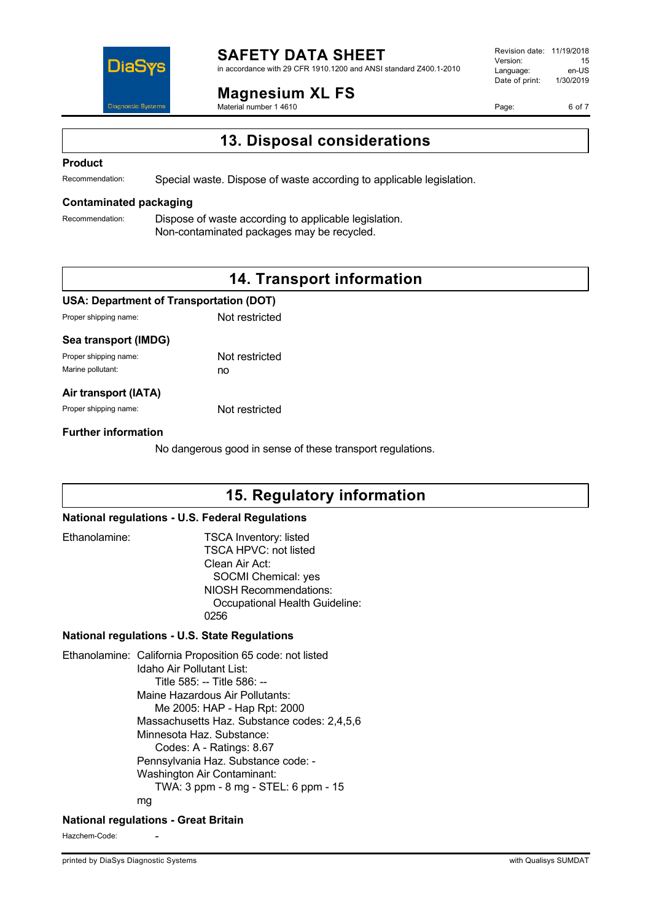

# **SAFETY DATA SHEET**

in accordance with 29 CFR 1910.1200 and ANSI standard Z400.1-2010

### **Magnesium XL FS**

Material number 1 4610

Revision date: 11/19/2018 Version: 15<br>Language: en-LIS Language: en-US<br>Date of print: 1/30/2019  $Date$  of print:

Page: 6 of 7

**13. Disposal considerations**

#### **Product**

Recommendation: Special waste. Dispose of waste according to applicable legislation.

#### **Contaminated packaging**

Recommendation: Dispose of waste according to applicable legislation. Non-contaminated packages may be recycled.

## **14. Transport information**

#### **USA: Department of Transportation (DOT)**

| Proper shipping name: | Not restricted |
|-----------------------|----------------|
|                       |                |

#### **Sea transport (IMDG)**

| Proper shipping name: | Not restricted |
|-----------------------|----------------|
| Marine pollutant:     | no             |

#### **Air transport (IATA)**

Proper shipping name: Not restricted

#### **Further information**

No dangerous good in sense of these transport regulations.

### **15. Regulatory information**

#### **National regulations - U.S. Federal Regulations**

| Ethanolamine: | <b>TSCA Inventory: listed</b>  |
|---------------|--------------------------------|
|               | <b>TSCA HPVC: not listed</b>   |
|               | Clean Air Act:                 |
|               | SOCMI Chemical: yes            |
|               | <b>NIOSH Recommendations:</b>  |
|               | Occupational Health Guideline: |
|               | በ256                           |

#### **National regulations - U.S. State Regulations**

Ethanolamine: California Proposition 65 code: not listed Idaho Air Pollutant List: Title 585: -- Title 586: -- Maine Hazardous Air Pollutants: Me 2005: HAP - Hap Rpt: 2000 Massachusetts Haz. Substance codes: 2,4,5,6 Minnesota Haz. Substance: Codes: A - Ratings: 8.67 Pennsylvania Haz. Substance code: - Washington Air Contaminant: TWA: 3 ppm - 8 mg - STEL: 6 ppm - 15 mg

#### **National regulations - Great Britain**

Hazchem-Code: